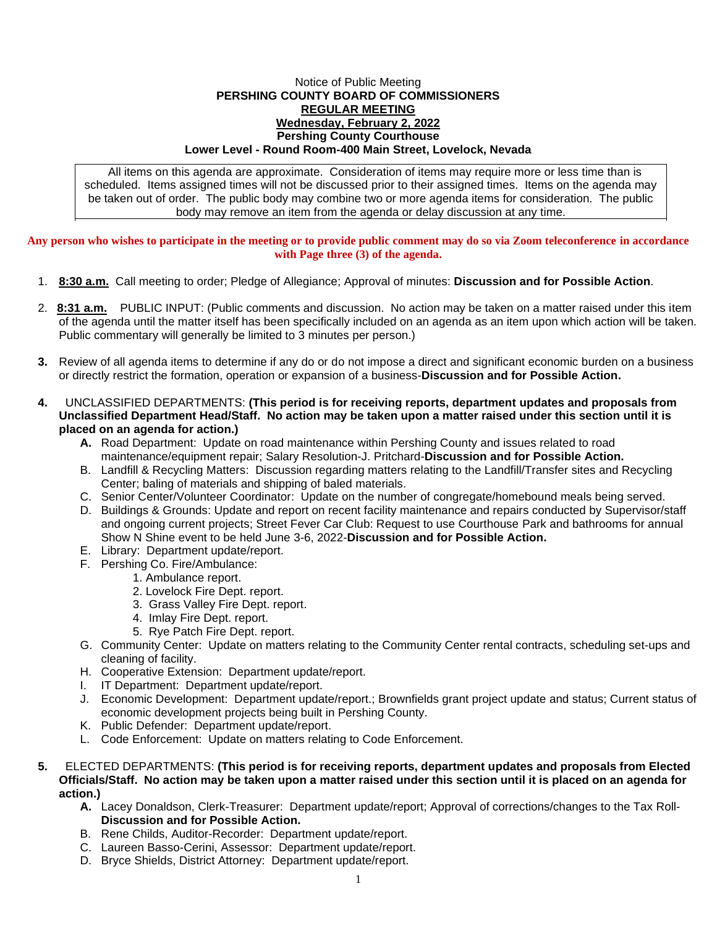## Notice of Public Meeting **PERSHING COUNTY BOARD OF COMMISSIONERS REGULAR MEETING Wednesday, February 2, 2022 Pershing County Courthouse Lower Level - Round Room-400 Main Street, Lovelock, Nevada**

All items on this agenda are approximate. Consideration of items may require more or less time than is scheduled. Items assigned times will not be discussed prior to their assigned times. Items on the agenda may be taken out of order. The public body may combine two or more agenda items for consideration. The public body may remove an item from the agenda or delay discussion at any time.

**Any person who wishes to participate in the meeting or to provide public comment may do so via Zoom teleconference in accordance with Page three (3) of the agenda.**

- 1. **8:30 a.m.** Call meeting to order; Pledge of Allegiance; Approval of minutes: **Discussion and for Possible Action**.
- 2. **8:31 a.m.** PUBLIC INPUT: (Public comments and discussion. No action may be taken on a matter raised under this item of the agenda until the matter itself has been specifically included on an agenda as an item upon which action will be taken. Public commentary will generally be limited to 3 minutes per person.)
- **3.** Review of all agenda items to determine if any do or do not impose a direct and significant economic burden on a business or directly restrict the formation, operation or expansion of a business-**Discussion and for Possible Action.**
- **4.** UNCLASSIFIED DEPARTMENTS: **(This period is for receiving reports, department updates and proposals from Unclassified Department Head/Staff. No action may be taken upon a matter raised under this section until it is placed on an agenda for action.)**
	- **A.** Road Department: Update on road maintenance within Pershing County and issues related to road maintenance/equipment repair; Salary Resolution-J. Pritchard-**Discussion and for Possible Action.**
	- B. Landfill & Recycling Matters: Discussion regarding matters relating to the Landfill/Transfer sites and Recycling Center; baling of materials and shipping of baled materials.
	- C. Senior Center/Volunteer Coordinator: Update on the number of congregate/homebound meals being served.
	- D. Buildings & Grounds: Update and report on recent facility maintenance and repairs conducted by Supervisor/staff and ongoing current projects; Street Fever Car Club: Request to use Courthouse Park and bathrooms for annual Show N Shine event to be held June 3-6, 2022-**Discussion and for Possible Action.**
	- E. Library: Department update/report.
	- F. Pershing Co. Fire/Ambulance:
		- 1. Ambulance report.
		- 2. Lovelock Fire Dept. report.
		- 3. Grass Valley Fire Dept. report.
		- 4. Imlay Fire Dept. report.
		- 5. Rye Patch Fire Dept. report.
	- G. Community Center: Update on matters relating to the Community Center rental contracts, scheduling set-ups and cleaning of facility.
	- H. Cooperative Extension: Department update/report.
	- I. IT Department: Department update/report.
	- J. Economic Development: Department update/report.; Brownfields grant project update and status; Current status of economic development projects being built in Pershing County.
	- K. Public Defender: Department update/report.
	- L. Code Enforcement: Update on matters relating to Code Enforcement.
- **5.** ELECTED DEPARTMENTS: **(This period is for receiving reports, department updates and proposals from Elected Officials/Staff. No action may be taken upon a matter raised under this section until it is placed on an agenda for action.)**
	- **A.** Lacey Donaldson, Clerk-Treasurer: Department update/report; Approval of corrections/changes to the Tax Roll-**Discussion and for Possible Action.**
	- B. Rene Childs, Auditor-Recorder: Department update/report.
	- C. Laureen Basso-Cerini, Assessor: Department update/report.
	- D. Bryce Shields, District Attorney: Department update/report.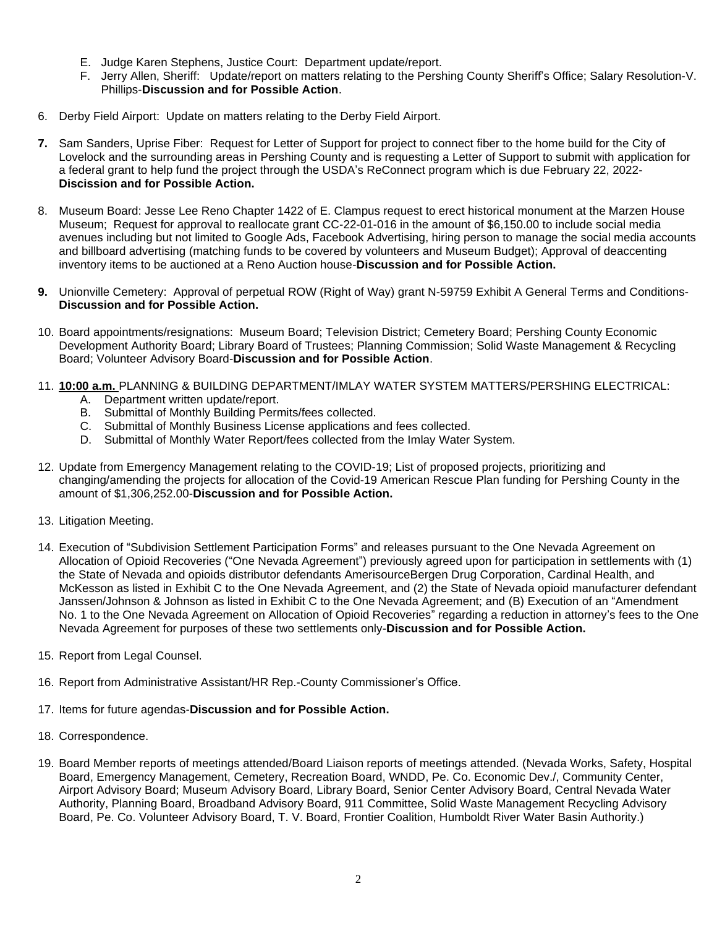- E. Judge Karen Stephens, Justice Court: Department update/report.
- F. Jerry Allen, Sheriff: Update/report on matters relating to the Pershing County Sheriff's Office; Salary Resolution-V. Phillips-**Discussion and for Possible Action**.
- 6. Derby Field Airport: Update on matters relating to the Derby Field Airport.
- **7.** Sam Sanders, Uprise Fiber: Request for Letter of Support for project to connect fiber to the home build for the City of Lovelock and the surrounding areas in Pershing County and is requesting a Letter of Support to submit with application for a federal grant to help fund the project through the USDA's ReConnect program which is due February 22, 2022- **Discission and for Possible Action.**
- 8. Museum Board: Jesse Lee Reno Chapter 1422 of E. Clampus request to erect historical monument at the Marzen House Museum; Request for approval to reallocate grant CC-22-01-016 in the amount of \$6,150.00 to include social media avenues including but not limited to Google Ads, Facebook Advertising, hiring person to manage the social media accounts and billboard advertising (matching funds to be covered by volunteers and Museum Budget); Approval of deaccenting inventory items to be auctioned at a Reno Auction house-**Discussion and for Possible Action.**
- **9.** Unionville Cemetery: Approval of perpetual ROW (Right of Way) grant N-59759 Exhibit A General Terms and Conditions-**Discussion and for Possible Action.**
- 10. Board appointments/resignations: Museum Board; Television District; Cemetery Board; Pershing County Economic Development Authority Board; Library Board of Trustees; Planning Commission; Solid Waste Management & Recycling Board; Volunteer Advisory Board-**Discussion and for Possible Action**.
- 11. **10:00 a.m.** PLANNING & BUILDING DEPARTMENT/IMLAY WATER SYSTEM MATTERS/PERSHING ELECTRICAL:
	- A. Department written update/report.
	- B. Submittal of Monthly Building Permits/fees collected.
	- C. Submittal of Monthly Business License applications and fees collected.
	- D. Submittal of Monthly Water Report/fees collected from the Imlay Water System.
- 12. Update from Emergency Management relating to the COVID-19; List of proposed projects, prioritizing and changing/amending the projects for allocation of the Covid-19 American Rescue Plan funding for Pershing County in the amount of \$1,306,252.00-**Discussion and for Possible Action.**
- 13. Litigation Meeting.
- 14. Execution of "Subdivision Settlement Participation Forms" and releases pursuant to the One Nevada Agreement on Allocation of Opioid Recoveries ("One Nevada Agreement") previously agreed upon for participation in settlements with (1) the State of Nevada and opioids distributor defendants AmerisourceBergen Drug Corporation, Cardinal Health, and McKesson as listed in Exhibit C to the One Nevada Agreement, and (2) the State of Nevada opioid manufacturer defendant Janssen/Johnson & Johnson as listed in Exhibit C to the One Nevada Agreement; and (B) Execution of an "Amendment No. 1 to the One Nevada Agreement on Allocation of Opioid Recoveries" regarding a reduction in attorney's fees to the One Nevada Agreement for purposes of these two settlements only-**Discussion and for Possible Action.**
- 15. Report from Legal Counsel.
- 16. Report from Administrative Assistant/HR Rep.-County Commissioner's Office.
- 17. Items for future agendas-**Discussion and for Possible Action.**
- 18. Correspondence.
- 19. Board Member reports of meetings attended/Board Liaison reports of meetings attended. (Nevada Works, Safety, Hospital Board, Emergency Management, Cemetery, Recreation Board, WNDD, Pe. Co. Economic Dev./, Community Center, Airport Advisory Board; Museum Advisory Board, Library Board, Senior Center Advisory Board, Central Nevada Water Authority, Planning Board, Broadband Advisory Board, 911 Committee, Solid Waste Management Recycling Advisory Board, Pe. Co. Volunteer Advisory Board, T. V. Board, Frontier Coalition, Humboldt River Water Basin Authority.)